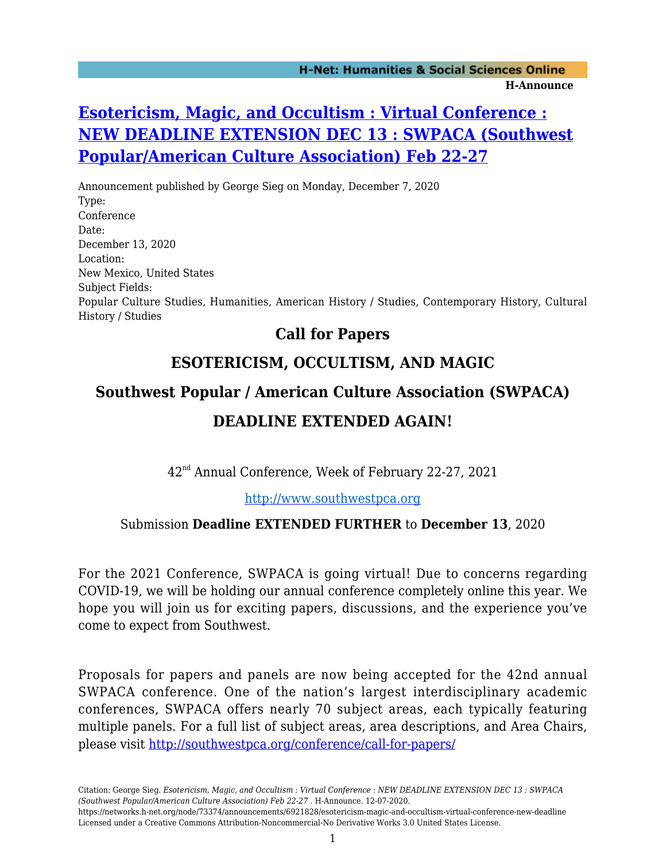# **[Esotericism, Magic, and Occultism : Virtual Conference :](https://networks.h-net.org/node/73374/announcements/6921828/esotericism-magic-and-occultism-virtual-conference-new-deadline) [NEW DEADLINE EXTENSION DEC 13 : SWPACA \(Southwest](https://networks.h-net.org/node/73374/announcements/6921828/esotericism-magic-and-occultism-virtual-conference-new-deadline) [Popular/American Culture Association\) Feb 22-27](https://networks.h-net.org/node/73374/announcements/6921828/esotericism-magic-and-occultism-virtual-conference-new-deadline)**

Announcement published by George Sieg on Monday, December 7, 2020 Type: Conference Date: December 13, 2020 Location: New Mexico, United States Subject Fields: Popular Culture Studies, Humanities, American History / Studies, Contemporary History, Cultural History / Studies

## **Call for Papers**

## **ESOTERICISM, OCCULTISM, AND MAGIC**

# **Southwest Popular / American Culture Association (SWPACA)**

## **DEADLINE EXTENDED AGAIN!**

42nd Annual Conference, Week of February 22-27, 2021

## [http://www.southwestpca.org](http://www.southwestpca.org/)

## Submission **Deadline EXTENDED FURTHER** to **December 13**, 2020

For the 2021 Conference, SWPACA is going virtual! Due to concerns regarding COVID-19, we will be holding our annual conference completely online this year. We hope you will join us for exciting papers, discussions, and the experience you've come to expect from Southwest.

Proposals for papers and panels are now being accepted for the 42nd annual SWPACA conference. One of the nation's largest interdisciplinary academic conferences, SWPACA offers nearly 70 subject areas, each typically featuring multiple panels. For a full list of subject areas, area descriptions, and Area Chairs, please visit <http://southwestpca.org/conference/call-for-papers/>

Citation: George Sieg. *Esotericism, Magic, and Occultism : Virtual Conference : NEW DEADLINE EXTENSION DEC 13 : SWPACA (Southwest Popular/American Culture Association) Feb 22-27* . H-Announce. 12-07-2020.

https://networks.h-net.org/node/73374/announcements/6921828/esotericism-magic-and-occultism-virtual-conference-new-deadline Licensed under a Creative Commons Attribution-Noncommercial-No Derivative Works 3.0 United States License.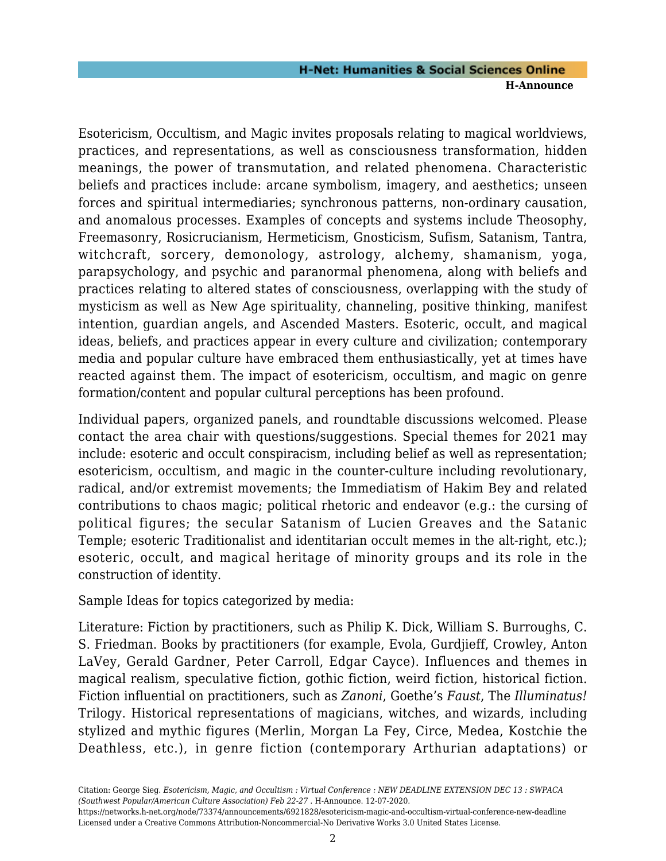Esotericism, Occultism, and Magic invites proposals relating to magical worldviews, practices, and representations, as well as consciousness transformation, hidden meanings, the power of transmutation, and related phenomena. Characteristic beliefs and practices include: arcane symbolism, imagery, and aesthetics; unseen forces and spiritual intermediaries; synchronous patterns, non-ordinary causation, and anomalous processes. Examples of concepts and systems include Theosophy, Freemasonry, Rosicrucianism, Hermeticism, Gnosticism, Sufism, Satanism, Tantra, witchcraft, sorcery, demonology, astrology, alchemy, shamanism, yoga, parapsychology, and psychic and paranormal phenomena, along with beliefs and practices relating to altered states of consciousness, overlapping with the study of mysticism as well as New Age spirituality, channeling, positive thinking, manifest intention, guardian angels, and Ascended Masters. Esoteric, occult, and magical ideas, beliefs, and practices appear in every culture and civilization; contemporary media and popular culture have embraced them enthusiastically, yet at times have reacted against them. The impact of esotericism, occultism, and magic on genre formation/content and popular cultural perceptions has been profound.

Individual papers, organized panels, and roundtable discussions welcomed. Please contact the area chair with questions/suggestions. Special themes for 2021 may include: esoteric and occult conspiracism, including belief as well as representation; esotericism, occultism, and magic in the counter-culture including revolutionary, radical, and/or extremist movements; the Immediatism of Hakim Bey and related contributions to chaos magic; political rhetoric and endeavor (e.g.: the cursing of political figures; the secular Satanism of Lucien Greaves and the Satanic Temple; esoteric Traditionalist and identitarian occult memes in the alt-right, etc.); esoteric, occult, and magical heritage of minority groups and its role in the construction of identity.

Sample Ideas for topics categorized by media:

Literature: Fiction by practitioners, such as Philip K. Dick, William S. Burroughs, C. S. Friedman. Books by practitioners (for example, Evola, Gurdjieff, Crowley, Anton LaVey, Gerald Gardner, Peter Carroll, Edgar Cayce). Influences and themes in magical realism, speculative fiction, gothic fiction, weird fiction, historical fiction. Fiction influential on practitioners, such as *Zanoni*, Goethe's *Faust*, The *Illuminatus!* Trilogy. Historical representations of magicians, witches, and wizards, including stylized and mythic figures (Merlin, Morgan La Fey, Circe, Medea, Kostchie the Deathless, etc.), in genre fiction (contemporary Arthurian adaptations) or

Citation: George Sieg. *Esotericism, Magic, and Occultism : Virtual Conference : NEW DEADLINE EXTENSION DEC 13 : SWPACA (Southwest Popular/American Culture Association) Feb 22-27* . H-Announce. 12-07-2020.

https://networks.h-net.org/node/73374/announcements/6921828/esotericism-magic-and-occultism-virtual-conference-new-deadline Licensed under a Creative Commons Attribution-Noncommercial-No Derivative Works 3.0 United States License.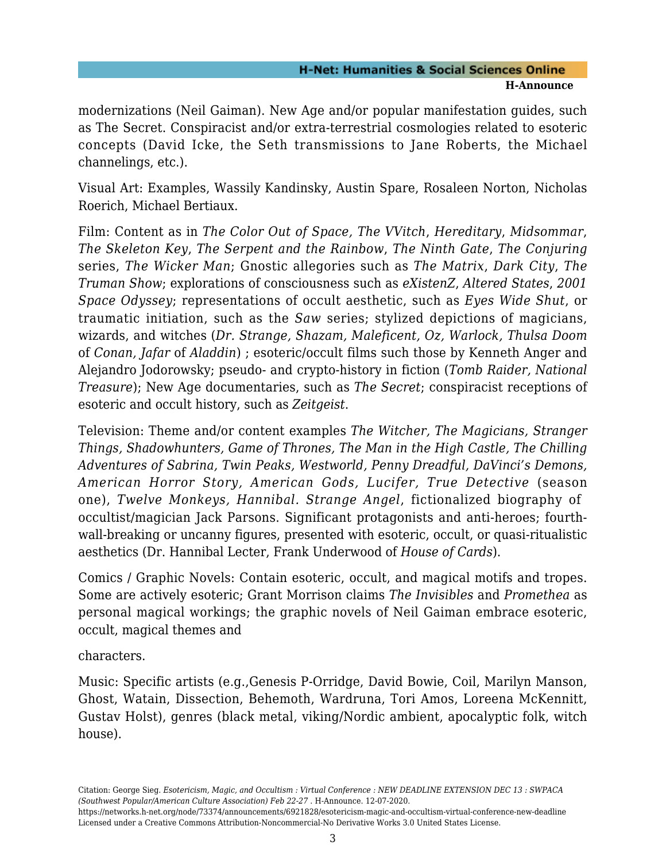modernizations (Neil Gaiman). New Age and/or popular manifestation guides, such as The Secret. Conspiracist and/or extra-terrestrial cosmologies related to esoteric concepts (David Icke, the Seth transmissions to Jane Roberts, the Michael channelings, etc.).

Visual Art: Examples, Wassily Kandinsky, Austin Spare, Rosaleen Norton, Nicholas Roerich, Michael Bertiaux.

Film: Content as in *The Color Out of Space, The VVitch*, *Hereditary*, *Midsommar*, *The Skeleton Key*, *The Serpent and the Rainbow*, *The Ninth Gate*, *The Conjuring* series, *The Wicker Man*; Gnostic allegories such as *The Matrix*, *Dark City*, *The Truman Show*; explorations of consciousness such as *eXistenZ*, *Altered States*, *2001 Space Odyssey*; representations of occult aesthetic, such as *Eyes Wide Shut*, or traumatic initiation, such as the *Saw* series; stylized depictions of magicians, wizards, and witches (*Dr. Strange, Shazam, Maleficent, Oz, Warlock, Thulsa Doom* of *Conan, Jafar* of *Aladdin*) ; esoteric/occult films such those by Kenneth Anger and Alejandro Jodorowsky; pseudo- and crypto-history in fiction (*Tomb Raider, National Treasure*); New Age documentaries, such as *The Secret*; conspiracist receptions of esoteric and occult history, such as *Zeitgeist*.

Television: Theme and/or content examples *The Witcher, The Magicians, Stranger Things, Shadowhunters, Game of Thrones, The Man in the High Castle, The Chilling Adventures of Sabrina, Twin Peaks, Westworld, Penny Dreadful, DaVinci's Demons, American Horror Story, American Gods, Lucifer, True Detective* (season one), *Twelve Monkeys, Hannibal. Strange Angel*, fictionalized biography of occultist/magician Jack Parsons. Significant protagonists and anti-heroes; fourthwall-breaking or uncanny figures, presented with esoteric, occult, or quasi-ritualistic aesthetics (Dr. Hannibal Lecter, Frank Underwood of *House of Cards*).

Comics / Graphic Novels: Contain esoteric, occult, and magical motifs and tropes. Some are actively esoteric; Grant Morrison claims *The Invisibles* and *Promethea* as personal magical workings; the graphic novels of Neil Gaiman embrace esoteric, occult, magical themes and

characters.

Music: Specific artists (e.g.,Genesis P-Orridge, David Bowie, Coil, Marilyn Manson, Ghost, Watain, Dissection, Behemoth, Wardruna, Tori Amos, Loreena McKennitt, Gustav Holst), genres (black metal, viking/Nordic ambient, apocalyptic folk, witch house).

Citation: George Sieg. *Esotericism, Magic, and Occultism : Virtual Conference : NEW DEADLINE EXTENSION DEC 13 : SWPACA (Southwest Popular/American Culture Association) Feb 22-27* . H-Announce. 12-07-2020.

https://networks.h-net.org/node/73374/announcements/6921828/esotericism-magic-and-occultism-virtual-conference-new-deadline Licensed under a Creative Commons Attribution-Noncommercial-No Derivative Works 3.0 United States License.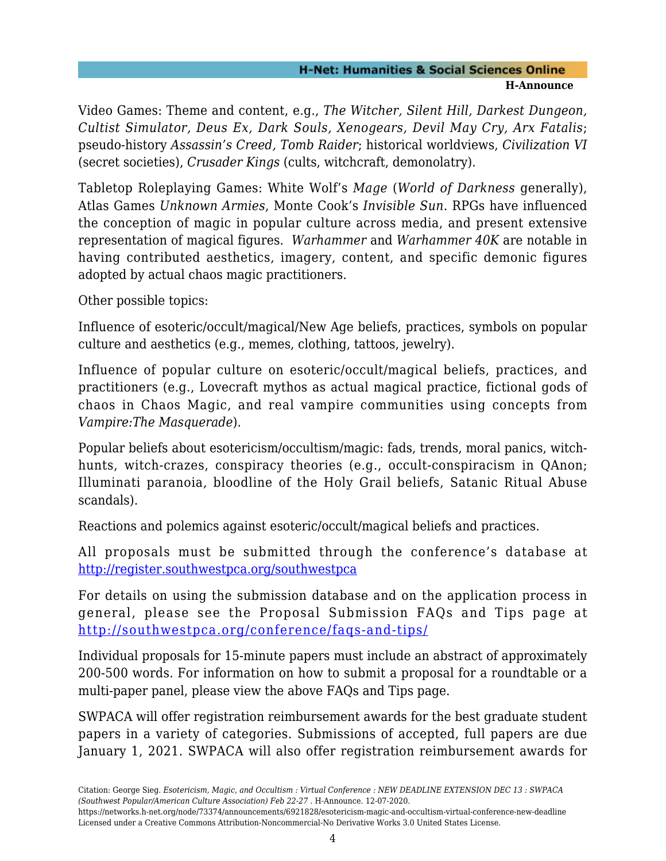Video Games: Theme and content, e.g., *The Witcher, Silent Hill, Darkest Dungeon, Cultist Simulator, Deus Ex, Dark Souls, Xenogears, Devil May Cry, Arx Fatalis*; pseudo-history *Assassin's Creed, Tomb Raider*; historical worldviews, *Civilization VI* (secret societies), *Crusader Kings* (cults, witchcraft, demonolatry).

Tabletop Roleplaying Games: White Wolf's *Mage* (*World of Darkness* generally), Atlas Games *Unknown Armies*, Monte Cook's *Invisible Sun*. RPGs have influenced the conception of magic in popular culture across media, and present extensive representation of magical figures. *Warhammer* and *Warhammer 40K* are notable in having contributed aesthetics, imagery, content, and specific demonic figures adopted by actual chaos magic practitioners.

Other possible topics:

Influence of esoteric/occult/magical/New Age beliefs, practices, symbols on popular culture and aesthetics (e.g., memes, clothing, tattoos, jewelry).

Influence of popular culture on esoteric/occult/magical beliefs, practices, and practitioners (e.g., Lovecraft mythos as actual magical practice, fictional gods of chaos in Chaos Magic, and real vampire communities using concepts from *Vampire:The Masquerade*).

Popular beliefs about esotericism/occultism/magic: fads, trends, moral panics, witchhunts, witch-crazes, conspiracy theories (e.g., occult-conspiracism in QAnon; Illuminati paranoia, bloodline of the Holy Grail beliefs, Satanic Ritual Abuse scandals).

Reactions and polemics against esoteric/occult/magical beliefs and practices.

All proposals must be submitted through the conference's database at <http://register.southwestpca.org/southwestpca>

For details on using the submission database and on the application process in general, please see the Proposal Submission FAQs and Tips page at <http://southwestpca.org/conference/faqs-and-tips/>

Individual proposals for 15-minute papers must include an abstract of approximately 200-500 words. For information on how to submit a proposal for a roundtable or a multi-paper panel, please view the above FAQs and Tips page.

SWPACA will offer registration reimbursement awards for the best graduate student papers in a variety of categories. Submissions of accepted, full papers are due January 1, 2021. SWPACA will also offer registration reimbursement awards for

Citation: George Sieg. *Esotericism, Magic, and Occultism : Virtual Conference : NEW DEADLINE EXTENSION DEC 13 : SWPACA (Southwest Popular/American Culture Association) Feb 22-27* . H-Announce. 12-07-2020.

https://networks.h-net.org/node/73374/announcements/6921828/esotericism-magic-and-occultism-virtual-conference-new-deadline Licensed under a Creative Commons Attribution-Noncommercial-No Derivative Works 3.0 United States License.